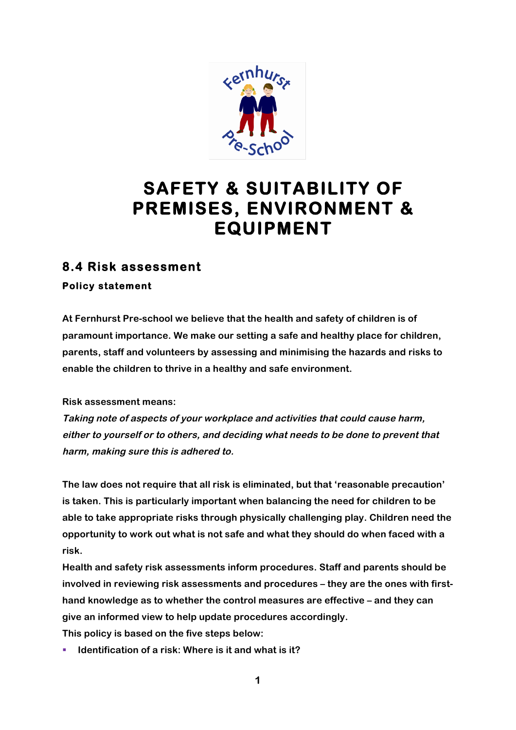

# **SAFETY & SUITABILITY OF PREMISES, ENVIRONMENT & EQUIPMENT**

## **8.4 Risk assessment**

**Policy statement** 

**At Fernhurst Pre-school we believe that the health and safety of children is of paramount importance. We make our setting a safe and healthy place for children, parents, staff and volunteers by assessing and minimising the hazards and risks to enable the children to thrive in a healthy and safe environment.**

**Risk assessment means:**

**Taking note of aspects of your workplace and activities that could cause harm, either to yourself or to others, and deciding what needs to be done to prevent that harm, making sure this is adhered to.**

**The law does not require that all risk is eliminated, but that 'reasonable precaution' is taken. This is particularly important when balancing the need for children to be able to take appropriate risks through physically challenging play. Children need the opportunity to work out what is not safe and what they should do when faced with a risk.**

**Health and safety risk assessments inform procedures. Staff and parents should be involved in reviewing risk assessments and procedures – they are the ones with firsthand knowledge as to whether the control measures are effective – and they can give an informed view to help update procedures accordingly.**

**This policy is based on the five steps below:**

■ **Identification of a risk: Where is it and what is it?**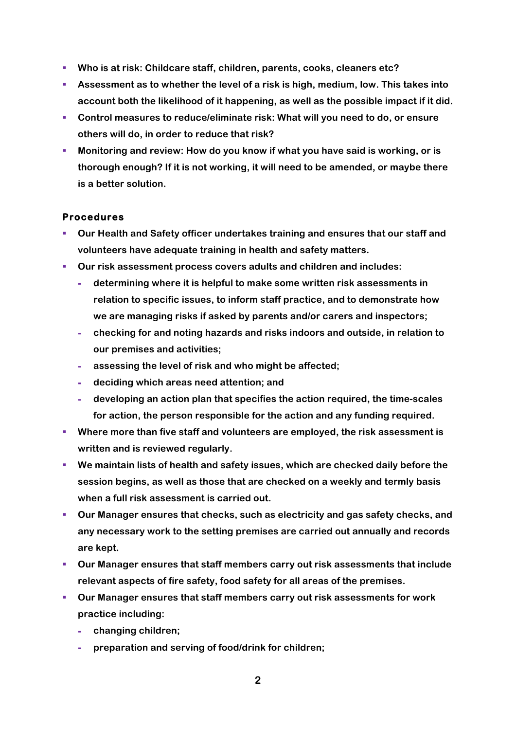- § **Who is at risk: Childcare staff, children, parents, cooks, cleaners etc?**
- § **Assessment as to whether the level of a risk is high, medium, low. This takes into account both the likelihood of it happening, as well as the possible impact if it did.**
- § **Control measures to reduce/eliminate risk: What will you need to do, or ensure others will do, in order to reduce that risk?**
- § **Monitoring and review: How do you know if what you have said is working, or is thorough enough? If it is not working, it will need to be amended, or maybe there is a better solution.**

### **Procedures**

- § **Our Health and Safety officer undertakes training and ensures that our staff and volunteers have adequate training in health and safety matters.**
- § **Our risk assessment process covers adults and children and includes:**
	- **- determining where it is helpful to make some written risk assessments in relation to specific issues, to inform staff practice, and to demonstrate how we are managing risks if asked by parents and/or carers and inspectors;**
	- **- checking for and noting hazards and risks indoors and outside, in relation to our premises and activities;**
	- **- assessing the level of risk and who might be affected;**
	- **- deciding which areas need attention; and**
	- **- developing an action plan that specifies the action required, the time-scales for action, the person responsible for the action and any funding required.**
- § **Where more than five staff and volunteers are employed, the risk assessment is written and is reviewed regularly.**
- We maintain lists of health and safety issues, which are checked daily before the **session begins, as well as those that are checked on a weekly and termly basis when a full risk assessment is carried out.**
- § **Our Manager ensures that checks, such as electricity and gas safety checks, and any necessary work to the setting premises are carried out annually and records are kept.**
- § **Our Manager ensures that staff members carry out risk assessments that include relevant aspects of fire safety, food safety for all areas of the premises.**
- § **Our Manager ensures that staff members carry out risk assessments for work practice including:**
	- **- changing children;**
	- **- preparation and serving of food/drink for children;**